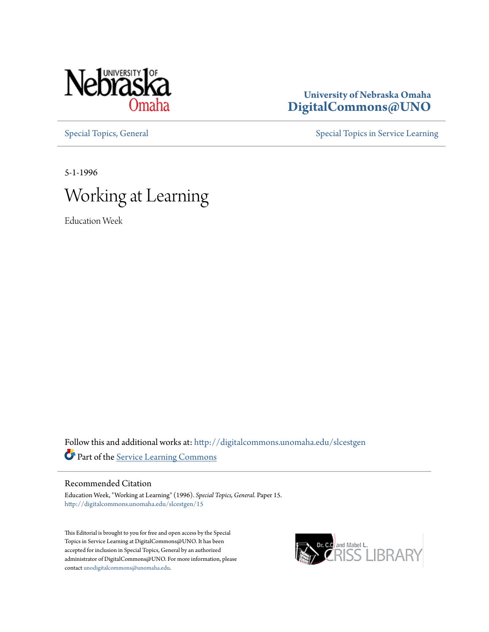

#### **University of Nebraska Omaha [DigitalCommons@UNO](http://digitalcommons.unomaha.edu?utm_source=digitalcommons.unomaha.edu%2Fslcestgen%2F15&utm_medium=PDF&utm_campaign=PDFCoverPages)**

[Special Topics, General](http://digitalcommons.unomaha.edu/slcestgen?utm_source=digitalcommons.unomaha.edu%2Fslcestgen%2F15&utm_medium=PDF&utm_campaign=PDFCoverPages) [Special Topics in Service Learning](http://digitalcommons.unomaha.edu/slcespecialtopics?utm_source=digitalcommons.unomaha.edu%2Fslcestgen%2F15&utm_medium=PDF&utm_campaign=PDFCoverPages)

5-1-1996



Education Week

Follow this and additional works at: [http://digitalcommons.unomaha.edu/slcestgen](http://digitalcommons.unomaha.edu/slcestgen?utm_source=digitalcommons.unomaha.edu%2Fslcestgen%2F15&utm_medium=PDF&utm_campaign=PDFCoverPages) Part of the [Service Learning Commons](http://network.bepress.com/hgg/discipline/1024?utm_source=digitalcommons.unomaha.edu%2Fslcestgen%2F15&utm_medium=PDF&utm_campaign=PDFCoverPages)

#### Recommended Citation

Education Week, "Working at Learning" (1996). *Special Topics, General.* Paper 15. [http://digitalcommons.unomaha.edu/slcestgen/15](http://digitalcommons.unomaha.edu/slcestgen/15?utm_source=digitalcommons.unomaha.edu%2Fslcestgen%2F15&utm_medium=PDF&utm_campaign=PDFCoverPages)

This Editorial is brought to you for free and open access by the Special Topics in Service Learning at DigitalCommons@UNO. It has been accepted for inclusion in Special Topics, General by an authorized administrator of DigitalCommons@UNO. For more information, please contact [unodigitalcommons@unomaha.edu.](mailto:unodigitalcommons@unomaha.edu)

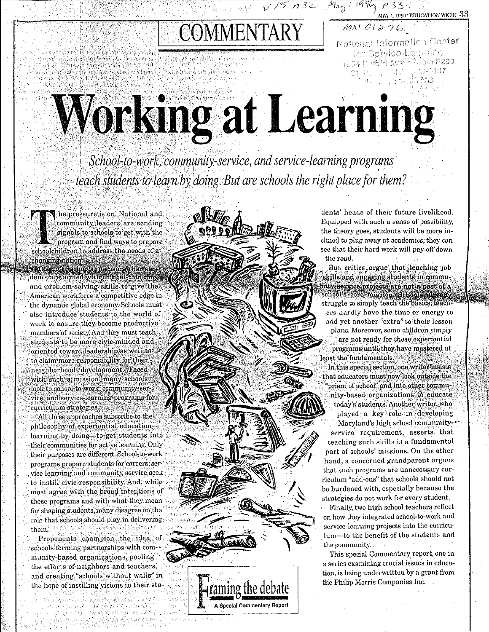COMMENTARY

**MARKAYA MARKATAN** Amas hina an an 3220 BRADE SH Sikin.

Webshort of absoluted

National Information Center **Cor Service Leasing**  $\gamma$ 994 Dubin Avol (246m h290 d S

 $\sqrt{75}$   $\approx$   $\approx$   $M_{45}$  ( $1996$ <sub>)</sub>  $\approx$  3.3 EDUCATION WEEK 33

 $MNIOI276$ 

# Working at Learning

School-to-work, community-service, and service-learning programs teach students to learn by doing. But are schools the right place for them?

raming the debate

**A Special Commentary Report** 

he pressure is on. National and community leaders are sending signals to schools to get with the program and find ways to prepare schoolchildren to address the needs of a changing nation.

up to schools to ensure that students are armed with critical thinking and problem-solving skills to give the American workforce a competitive edge in the dynamic global economy. Schools must also introduce students to the world of work to ensure they become productive members of society. And they must teach students to be more civic-minded and oriented toward leadership as well as to claim more responsibility for their neighborhood development Faced with such a mission, many schools look to school-to-work, community-service, and service-learning programs for curriculum strategies.

All three approaches subscribe to the philosophy of experiential educationlearning by doing-to get students into their communities for active learning. Only their purposes are different. School-to-work programs prepare students for careers; service learning and community service seek to instill civic responsibility And, while most agree with the broad intentions of these programs and with what they mean for shaping students, many disagree on the role that schools should play in delivering them.

Proponents champion the idea of schools forming partnerships with community-based organizations, pooling the efforts of neighbors and teachers, and creating "schools without walls" in the hope of instilling visions in their stu-

a Dina Sultana

dents' heads of their future livelihood. Equipped with such a sense of possibility. the theory goes, students will be more inclined to plug away at academics; they can see that their hard work will pay off down the road. But critics argue that teaching job skills and engaging students in community-service projects are not a part of a school's core mission .Schools already struggle to simply teach the basics; teach ers hardly have the time or energy to add yet another "extra" to their lesson plans. Moreover, some children simply are not ready for these experiential programs until they have mastered at least the fundamentals. In this special section, one writer insists

that educators must now look outside the "prism of school" and into other community-based organizations to educate today's students. Another writer, who played a key role in developing Maryland's high school community-

service requirement, asserts that teaching such skills is a fundamental part of schools' missions. On the other hand, a concerned grandparent argues that such programs are unnecessary curriculum "add-ons" that schools should not be burdened with, especially because the strategies do not work for every student.

Finally, two high school teachers reflect on how they integrated school-to-work and service-learning projects into the curriculum-to the benefit of the students and the community.

This special Commentary report, one in a series examining crucial issues in education, is being underwritten by a grant from the Philip Morris Companies Inc.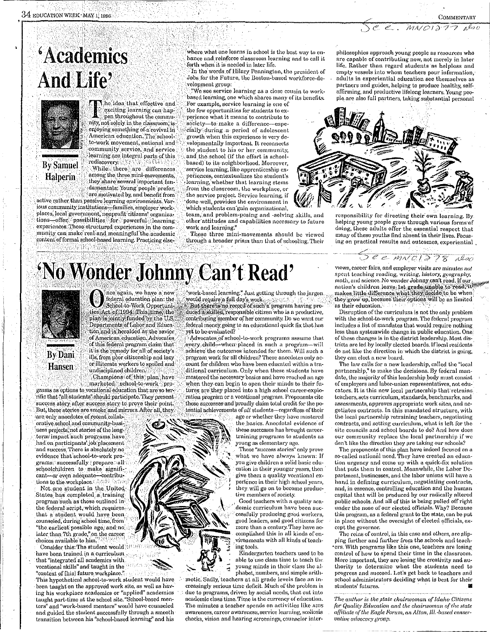#### $M N O 12.77$  $A$ boc

# *'Academics* **And Life'**



**By Samuel** 

Halperin

exciting learning can happen throughout the community, not solely in the classroom, is enjoying something of a revival in American education. The schoolto-work movement, national and community service, and service learning are integral parts of this rediscovery While there are differences among the three mini-movements, they share several important fundamentals. Young people prefer,

the idea that effective and

are metivated by and benefit from active rather than passive learning environments. Various community institutions—families, employer work-<br>places, local government, nonprofit citizens' organizations offer possibilities for powerful learning experiences. These structured experiences in the community can make real and meaningful the academic content of formal school-based learning. Practicing else-

where what one learns in school is the best way to enhance and reinforce classroom learning and to call it forth when it is needed in later life.

In the words of Hilary Pennington, the president of Jobs for the Future, the Boston-based workforce-development group:

"We see service learning as a close cousin to workbased learning, one which shares many of its benefits. For example, service learning is one of

the few opportunities for students to experience what it means to contribute to society-to make a difference-especially during a period of adolescent growth when this experience is very developmentally important. It reconnects the student to his or her community, and the school (if the effort is schoolbased) to its neighborhood. Moreover, service learning, like apprenticeship experiences, contextualizes the student's learning, whether that learning stems from the classroom, the workplace, or the service project. Service learning, if done well, provides the environment in which students can'gain organizational,

team, and problem-posing and -solving skills, and other attitudes and capabilities necessary to future work and learning.

These three mini-movements should be viewed through a broader prism than that of schooling. Their philosophies approach young people as resources who are capable of contributing now, not merely in later life. Rather than regard students as helpless and empty vessels into whom teachers pour information. adults in experiential education see themselves as partners and guides, helping to produce healthy, selfaffirming, and productive lifelong learners. Young people are also full partners, taking substantial personal



responsibility for directing their own learning, By helping young people grow through various forms of doing, these adults offer the essential respect that many of these youths find absent in their lives. Focusing on practical results and outcomes, experiential

See MNOI278 also

# 'No Wonder Johnny Can't Read'



**Hansen** 

nce again, we have a new federal education plan: the School to Work Opportunities Act of 1994. This time, the plan is jointly funded by the U.S. Departments of Labor and Education and is heralded as the savior of American education. Advocates of this federal program claim that it is the remedy for all of society's ills, from poor citizenship and lazy or illiterate workers to spoiled and undisciplined children.

Champions of this plan have marketed school-to-work programs as options to vocational education that are so terrific that "all students" should participate. They present success story after success story to prove their point.

But, these stories are smoke and mirrors. After all, they are only anecdotes of recent collaborative school and community-business projects, not stories of the longterm'impact such programs have had on participants' job placement and success There is absolutely no evidence that school-to-work programs successfully prepare all schoolchildren to make significant-or even adequate-contributions to the workplace.

Not one student in the United States has completed a training program such as those outlined in the federal script, which requires that a student would have been counseled, during school time, from "the earliest possible age, and no later than 7th grade," on the career choices available to him.

Consider this: The student would have been trained in a curriculum that "integrated all academics with vocational skills" and taught in the "context of [his] future workplace."

This hypothetical school-to-work student would have been taught on the approved work site, as well as having his workplace academics or "applied" academics taught part-time at the school site. "School-based mentors" and "work-based mentors" would have counseled and guided the student successfully through a smooth transition between his "school-based learning" and his

work-based learning." Just getting through the jargon. would require a full day's work.<br>But there is no record of such a program having produced a skilled, responsible citizen who is a productive. contributing member of her community. Do we want our federal money going to an educational quick fix that has vet to be evaluated?

Advocates of school-to-work programs assume that every child-when placed in such a program-will achieve the outcomes intended for them. Will such a program work for all children? These anecdotes only account for children who have been educated within a traditional curriculum. Only when these students have mastered the necessary basics and have reached an age when they can begin to open their minds to their futures are they placed into a high school career-exploration program or a vocational program. Proponents cite these successes and proudly claim total credit for the potential achievements of all students-regardless of their

age or whether they have mastered the basics. Anecdotal evidence of these successes has brought careertraining programs to students as young as elementary age.

These "success stories" only prove what we have always known: If you give children a solid basic education in their younger years, then give them a quality vocational experience in their high school years. they will go on to become productive members of society.

Good teachers with a quality academic curriculum have been successfully producing good workers, good leaders, and good citizens for more than a century. They have accomplished this in all kinds of environments with all kinds of teaching tools.

Kindergarten teachers used to be able to use class time to teach the young minds in their class the alphabet, numbers, and simple arith-

metic. Sadly, teachers at all grade levels face an increasingly serious time deficit. Much of the problem is due to programs, driven by social needs, that cut into academic class time. Time is the currency of education. The minutes a teacher spends on activities like AIDS awareness, career awareness, service learning, scoliosis checks, vision and hearing screenings, counselor inter-

views, career fairs, and employer visits are minutes not spent teaching reading, writing, history, geography, math, and science. No wonder Johnny can't read. If our nation's children leave 1st grade unable to read, it<br>makes little difference what they decide to be when they grow up, because their options will be as limited as their education.

Disruption of the curriculum is not the only problem with the school-to-work program. The federal program includes a list of mandates that would require nothing less than systemwide change in public education. One of these changes is in the district leadership. Most districts are led by locally elected boards. If local residents do not like the direction in which the district is going. they can elect a new board.

The law calls for a new leadership, called the "local partnership," to make the decisions. By federal mandate, the majority of this leadership body must consist of employers and labor-union representatives, not educators. It is this new local partnership that retrains teachers, sets curriculum, standards, benchmarks, and assessments, approves appropriate work sites, and negotiates contracts. In this mandated structure, with the local partnership retraining teachers, negotiating contracts, and setting curriculum, what is left for the site councils and school boards to do? And how does our community replace the local partnership if we don't like the direction they are taking our schools?

The proponents of this plan have indeed focused on a so-called national need. They have created an education urgency and come up with a quick-fix solution that puts them in control. Meanwhile, the Labor Department, businesses, and the labor unions will have a hand in defining curriculum, negotiating contracts, and, in essence, controlling education and the human capital that will be produced by our radically altered public schools. And all of this is being pulled off right under the nose of our elected officials. Why? Because this program, as a federal grant to the state, can be put in place without the oversight of elected officials, except the governor.

The reins of control, in this case and others, are slipping further and further from the schools and teachers. With programs like this one, teachers are losing control of how to spend their time in the classroom. More important, they are losing the creativity and authority to determine what the students need to progress and succeed. Let's get back to teachers and school administrators deciding what is best for their students' futures.

The author is the state chairwoman of Idaho Citizens for Quality Education and the chairwoman of the state affiliate of the Eagle Forum, an Alton, Ill.-based conservative advocacy group.

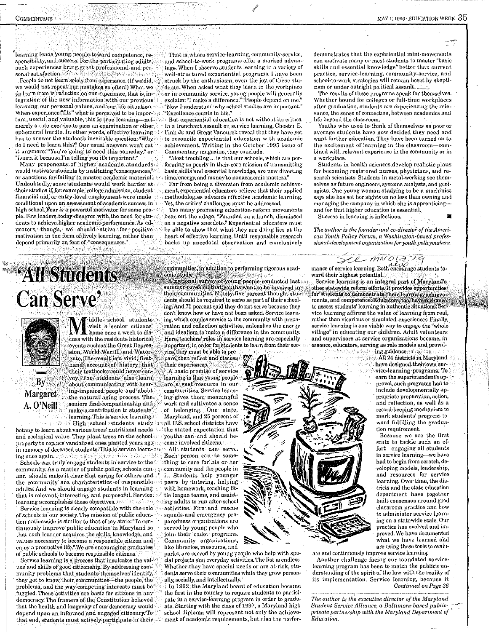learning leads young people toward competence, responsibility, and success. For the participating adults, such experiences bring great professional and personal satisfaction.

People do not learn solely from experience. (If we did, we would not repeat our mistakes so often!) What we do learn from is reflection on our experience, that is, integration of the new information with our previous learning, our personal values, and our life situation. When experience "fits" what is perceived to be important, useful, and valuable, this is true learning-not merely a rote exercise to pass an examination or other. ephemeral hurdle. In other words, effective learning has to answer the student's inevitable question: "Why do I need to learn this?" Our usual answers won't cut. it anymore: "You're going to need this someday," or "Learn it because I'm telling you it's important."

Many proponents of higher academic standards would motivate students by instituting "consequences, or sanctions for failing to master academic material. Undoubtedly, some students would work harder at their studies if, for example, college admission, student financial aid, or entry-level employment were made conditional upon an assessment of academic success in high school. Fear is a powerful motivator for some people. Few leaders today disagree with the need for students to achieve higher academic performance. As educators, though, we should strive for positive: motivation in the form of lively learning, rather than depend primarily on fear of "consequences." សារមានការប្រើវត្តិ

# **All Students Can Serve**



By

Margaret

A. O'Neill

iddle school students visit a senior citizens, home once a week to discuss with the residents historical events such as the Great Depression, World War: II, and Watergate. The result is a vivid, firsthand account of history that their textbooks could never convey, The students also learn about communicating with hearing-impaired people and about the natural aging process. The seniors find companionship and make a contribution to students' learning. This is service learning.

High school students study botany to learn about various trees' nutritional needs and ecological value. They plant trees on the school property to replace vandalized ones planted years ago: in memory of deceased students. This is service learning once again.

Schools can truly engage students in service to the community. As a matter of public policy, schools canand should make it clear that caring for others and the community are characteristics of responsible adults. And we should engage students in learning that is relevant, interesting, and purposeful. Service: learning accomplishes these objectives.

Service learning is clearly compatible with the role of schools in our society. The mission of public education nationwide is similar to that of my state: "To continuously improve public education in Maryland so that each learner acquires the skills, knowledge, and values necessary to become a responsible citizen and enjoy a productive life." We are encouraging graduates of public schools to become responsible citizens.

Service learning is a process that inculcates the values and skills of good citizenship. By addressing community problems that students themselves identify, they get to know their communities—the people, the problems, and the way competing interests must be juggled. These activities are basic for citizens in any democracy. The framers of the Constitution believed that the health and longevity of our democracy would depend upon an informed and engaged citizenry. To that end, students must actively participate in their

That is where service-learning, community-service, and school-to-work programs offer a marked advantage. When I observe students learning in a variety of well-structured experiential programs, I have been struck by the enthusiasm, even the joy, of these students. When asked what they learn in the workplace or in community service, young people will generally exclaim: "I make a difference." "People depend on me." "Now I understand why school studies are important." "Excellence counts in life."

But experiential education is not without its critics. In a trenchant assault on service learning, Chester E. Finn Jr. and Gregg Vanourek reveal that they have yet to reconcile experiential education with academic achievement. Writing in the October 1995 issue of Commontary magazine, they conclude:

"Most troubling"... is that our schools, which are performing so poorly in their core mission of transmitting basic skills and essential knowledge, are now diverting time. energy, and money to nonacademic matters.

Far from being a diversion from academic achievement, experiential educators believe that their applied methodologies advance effective academic learning. Yet, the critics' challenges must be addressed.

Too many promising education-reform movements bear out the adage, "Founded on a hunch, dismissed on a negative anecdote." Experiential educators must be able to show that what they are doing lies at the heart of effective learning. Until responsible research backs up anecdotal observation and conclusively

communities, in addition to performing rigorous academic study s

A national survey of young people conducted last summer revealed that you ha want to be involved in their communities. Ninety-five percent thought students should be required to serve as part of their schooling. And 75 percent said they do not serve because they don't know how or have not been asked. Service learning, which couples service to the community with preparation and reflection activities, unloashes the energy and idealism to make a difference in the community. Here, teachers' roles in service learning are especially important; in order for students to learn from their ser-

vice, they must be able to prepare, then reflect and discuss their experiences. A basic premise of service learning is that young people are a vast resource in our communities. Service learning gives them meaningful work and cultivates a sense of belonging. One state, Maryland, and 25 percent of all U.S. school districts havethe stated expectation that 'youths can and should become involved citizens.

All students can serve. Each person can do something to care for his or her community and the people in it. Students help younger peers by tutoring, helping with homework, coaching little league teams, and assisting adults to run after-school activities. Fire and rescue squads and emergency preparedness organizations are served by young people who join their cadet programs. Community organizations, like libraries, museums, and

parks, are served by young people who help with special projects and everyday activities. The list is endless. Whether they have special needs or are at-risk, students serve their communities while they grow personally, socially, and intellectually.

In 1992, the Maryland board of education became the first in the country to require students to participate in a service-learning program in order to graduate. Starting with the class of 1997, a Maryland high school diploma will represent not only the achievement of academic requirements, but also the perfor-

demonstrates that the experiential mini-movements can motivate many or most students to master "basic skills and essential knowledge" better than current practice, service-learning, community-service, and school-to-work strategies will remain boset by skepticism or under outright political assault.

The results of these programs speak for themselves. Whether bound for colleges or full-time workplaces after graduation, students are experiencing the relevance, the sense of connection, between academics and life beyond the classroom.

Youths who used to think of themselves as poor or average students have now decided they need and want further education. They have been turned on to the excitement of learning in the classroom-combined with relevant experience in the community or in a workplace.

Students in health sciences develop realistic plans for becoming registered nurses, physicians, and research scientists. Students in metal-working see themselves as future engineers, systems analysts, and geologists. One young woman studying to be a machinist says she has set her sights on no less than owning and managing the company in which she is apprenticingand for that higher education is essential.

Success in learning is infectious.

The author is the founder and co-director of the American Youth Policy Forum, a Washington-based professional-development organization for youth policymakers.

## $CC *MMS*  $01$   $37$   $7$   $7$   $9$   $10$   $10$   $10$   $10$   $10$   $10$   $10$   $10$   $10$   $10$   $10$   $10$   $10$   $10$   $10$   $10$   $10$   $10$   $10$   $10$   $10$  </u>$

ward their highest potential. Service learning is an integral part of Maryland's other statewide reform efforts. It provides opportunities for students to demonstrate their learning, achievements, and competence. Educators, too, have a chance to assess students' learning in authentic situations. Service learning affirms the value of learning from real, rather than vicarious or simulated, experiences. Finally, service learning is one viable way to engage the "whole village" in educating our children. Adult volunteers and supervisors at service organizations become, in essence, educators, serving as role models and provid-

See the first ring guidance.

All 24 districts in Maryland have designed their own service-learning programs. To earn the superintendent's approval, such programs had to include developmentally appropriate preparation, action, and reflection, as well as a record-keeping mechanism to mark students' progress toward fulfilling the graduation requirement.

Because we are the first state to tackle such an effort-engaging all students in service learning-we have had to begin from scratch, developing models, leadership, and resources for service learning. Over time, the districts and the state education department have together built consensus around good classroom practice and how to administer service learning on a statewide scale. Our practice has evolved and improved. We have documented what we have learned and are using these tools to evalu-

ate and continuously improve service learning. Another challenge facing our mandated servicelearning program has been to match the public's understanding of the spirit of the law with the reality of its implementation. Service learning, because it Continued on Page 36

The author is the executive director of the Maryland Student Service Alliance, a Baltimore-based publicprivate partnership with the Maryland Department of Education.